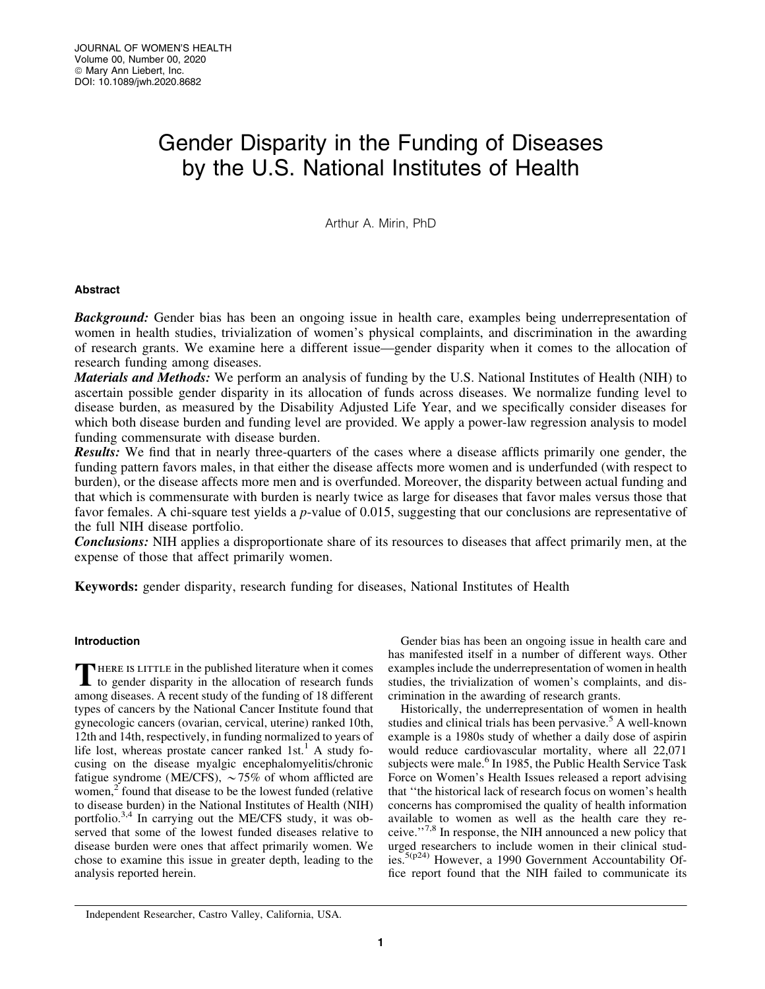# Gender Disparity in the Funding of Diseases by the U.S. National Institutes of Health

Arthur A. Mirin, PhD

# Abstract

**Background:** Gender bias has been an ongoing issue in health care, examples being underrepresentation of women in health studies, trivialization of women's physical complaints, and discrimination in the awarding of research grants. We examine here a different issue—gender disparity when it comes to the allocation of research funding among diseases.

Materials and Methods: We perform an analysis of funding by the U.S. National Institutes of Health (NIH) to ascertain possible gender disparity in its allocation of funds across diseases. We normalize funding level to disease burden, as measured by the Disability Adjusted Life Year, and we specifically consider diseases for which both disease burden and funding level are provided. We apply a power-law regression analysis to model funding commensurate with disease burden.

**Results:** We find that in nearly three-quarters of the cases where a disease afflicts primarily one gender, the funding pattern favors males, in that either the disease affects more women and is underfunded (with respect to burden), or the disease affects more men and is overfunded. Moreover, the disparity between actual funding and that which is commensurate with burden is nearly twice as large for diseases that favor males versus those that favor females. A chi-square test yields a *p*-value of 0.015, suggesting that our conclusions are representative of the full NIH disease portfolio.

Conclusions: NIH applies a disproportionate share of its resources to diseases that affect primarily men, at the expense of those that affect primarily women.

Keywords: gender disparity, research funding for diseases, National Institutes of Health

# Introduction

THERE IS LITTLE in the published literature when it comes<br>to gender disparity in the allocation of research funds among diseases. A recent study of the funding of 18 different types of cancers by the National Cancer Institute found that gynecologic cancers (ovarian, cervical, uterine) ranked 10th, 12th and 14th, respectively, in funding normalized to years of life lost, whereas prostate cancer ranked 1st.<sup>1</sup> A study focusing on the disease myalgic encephalomyelitis/chronic fatigue syndrome (ME/CFS),  $\sim$  75% of whom afflicted are women,<sup>2</sup> found that disease to be the lowest funded (relative to disease burden) in the National Institutes of Health (NIH) portfolio.<sup>3,4</sup> In carrying out the ME/CFS study, it was observed that some of the lowest funded diseases relative to disease burden were ones that affect primarily women. We chose to examine this issue in greater depth, leading to the analysis reported herein.

Gender bias has been an ongoing issue in health care and has manifested itself in a number of different ways. Other examples include the underrepresentation of women in health studies, the trivialization of women's complaints, and discrimination in the awarding of research grants.

Historically, the underrepresentation of women in health studies and clinical trials has been pervasive.<sup>5</sup> A well-known example is a 1980s study of whether a daily dose of aspirin would reduce cardiovascular mortality, where all 22,071 subjects were male.<sup>6</sup> In 1985, the Public Health Service Task Force on Women's Health Issues released a report advising that ''the historical lack of research focus on women's health concerns has compromised the quality of health information available to women as well as the health care they receive.''7,8 In response, the NIH announced a new policy that urged researchers to include women in their clinical studies.5(p24) However, a 1990 Government Accountability Office report found that the NIH failed to communicate its

Independent Researcher, Castro Valley, California, USA.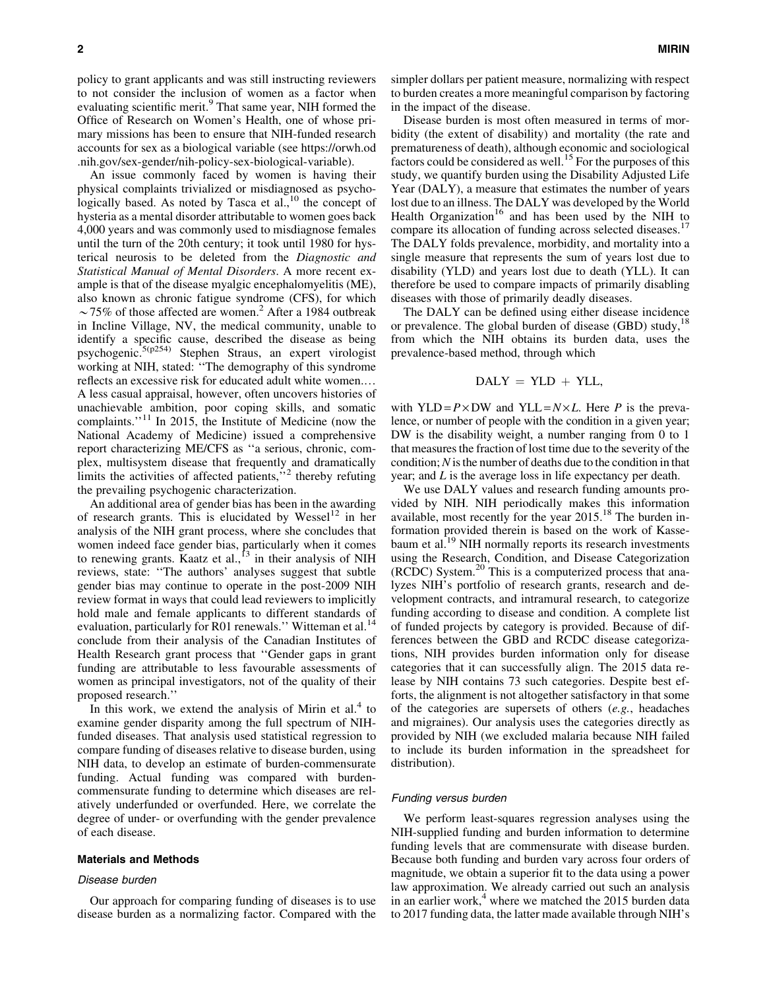policy to grant applicants and was still instructing reviewers to not consider the inclusion of women as a factor when evaluating scientific merit.<sup>9</sup> That same year, NIH formed the Office of Research on Women's Health, one of whose primary missions has been to ensure that NIH-funded research accounts for sex as a biological variable (see [https://orwh.od](https://orwh.od.nih.gov/sex-gender/nih-policy-sex-biological-variable) [.nih.gov/sex-gender/nih-policy-sex-biological-variable](https://orwh.od.nih.gov/sex-gender/nih-policy-sex-biological-variable)).

An issue commonly faced by women is having their physical complaints trivialized or misdiagnosed as psychologically based. As noted by Tasca et al.,<sup>10</sup> the concept of hysteria as a mental disorder attributable to women goes back 4,000 years and was commonly used to misdiagnose females until the turn of the 20th century; it took until 1980 for hysterical neurosis to be deleted from the *Diagnostic and Statistical Manual of Mental Disorders*. A more recent example is that of the disease myalgic encephalomyelitis (ME), also known as chronic fatigue syndrome (CFS), for which  $\sim$ 75% of those affected are women.<sup>2</sup> After a 1984 outbreak in Incline Village, NV, the medical community, unable to identify a specific cause, described the disease as being psychogenic.5(p254) Stephen Straus, an expert virologist working at NIH, stated: ''The demography of this syndrome reflects an excessive risk for educated adult white women.. A less casual appraisal, however, often uncovers histories of unachievable ambition, poor coping skills, and somatic complaints."<sup>11</sup> In 2015, the Institute of Medicine (now the National Academy of Medicine) issued a comprehensive report characterizing ME/CFS as ''a serious, chronic, complex, multisystem disease that frequently and dramatically limits the activities of affected patients,"<sup>2</sup> thereby refuting the prevailing psychogenic characterization.

An additional area of gender bias has been in the awarding of research grants. This is elucidated by Wessel<sup>12</sup> in her analysis of the NIH grant process, where she concludes that women indeed face gender bias, particularly when it comes to renewing grants. Kaatz et al., $^{13}$  in their analysis of NIH reviews, state: ''The authors' analyses suggest that subtle gender bias may continue to operate in the post-2009 NIH review format in ways that could lead reviewers to implicitly hold male and female applicants to different standards of evaluation, particularly for R01 renewals." Witteman et al.<sup>14</sup> conclude from their analysis of the Canadian Institutes of Health Research grant process that ''Gender gaps in grant funding are attributable to less favourable assessments of women as principal investigators, not of the quality of their proposed research.''

In this work, we extend the analysis of Mirin et al. $4$  to examine gender disparity among the full spectrum of NIHfunded diseases. That analysis used statistical regression to compare funding of diseases relative to disease burden, using NIH data, to develop an estimate of burden-commensurate funding. Actual funding was compared with burdencommensurate funding to determine which diseases are relatively underfunded or overfunded. Here, we correlate the degree of under- or overfunding with the gender prevalence of each disease.

#### Materials and Methods

#### Disease burden

Our approach for comparing funding of diseases is to use disease burden as a normalizing factor. Compared with the simpler dollars per patient measure, normalizing with respect to burden creates a more meaningful comparison by factoring in the impact of the disease.

Disease burden is most often measured in terms of morbidity (the extent of disability) and mortality (the rate and prematureness of death), although economic and sociological factors could be considered as well.<sup>15</sup> For the purposes of this study, we quantify burden using the Disability Adjusted Life Year (DALY), a measure that estimates the number of years lost due to an illness. The DALY was developed by the World Health Organization<sup>16</sup> and has been used by the NIH to compare its allocation of funding across selected diseases.<sup>17</sup> The DALY folds prevalence, morbidity, and mortality into a single measure that represents the sum of years lost due to disability (YLD) and years lost due to death (YLL). It can therefore be used to compare impacts of primarily disabling diseases with those of primarily deadly diseases.

The DALY can be defined using either disease incidence or prevalence. The global burden of disease (GBD) study,<sup>18</sup> from which the NIH obtains its burden data, uses the prevalence-based method, through which

$$
DALY = YLD + YLL,
$$

with YLD =  $P \times DW$  and YLL =  $N \times L$ . Here *P* is the prevalence, or number of people with the condition in a given year; DW is the disability weight, a number ranging from 0 to 1 that measures the fraction of lost time due to the severity of the condition;*N* is the number of deaths due to the condition in that year; and *L* is the average loss in life expectancy per death.

We use DALY values and research funding amounts provided by NIH. NIH periodically makes this information available, most recently for the year  $2015$ .<sup>18</sup> The burden information provided therein is based on the work of Kassebaum et al.<sup>19</sup> NIH normally reports its research investments using the Research, Condition, and Disease Categorization (RCDC) System.<sup>20</sup> This is a computerized process that analyzes NIH's portfolio of research grants, research and development contracts, and intramural research, to categorize funding according to disease and condition. A complete list of funded projects by category is provided. Because of differences between the GBD and RCDC disease categorizations, NIH provides burden information only for disease categories that it can successfully align. The 2015 data release by NIH contains 73 such categories. Despite best efforts, the alignment is not altogether satisfactory in that some of the categories are supersets of others (*e.g.*, headaches and migraines). Our analysis uses the categories directly as provided by NIH (we excluded malaria because NIH failed to include its burden information in the spreadsheet for distribution).

#### Funding versus burden

We perform least-squares regression analyses using the NIH-supplied funding and burden information to determine funding levels that are commensurate with disease burden. Because both funding and burden vary across four orders of magnitude, we obtain a superior fit to the data using a power law approximation. We already carried out such an analysis in an earlier work, $4$  where we matched the 2015 burden data to 2017 funding data, the latter made available through NIH's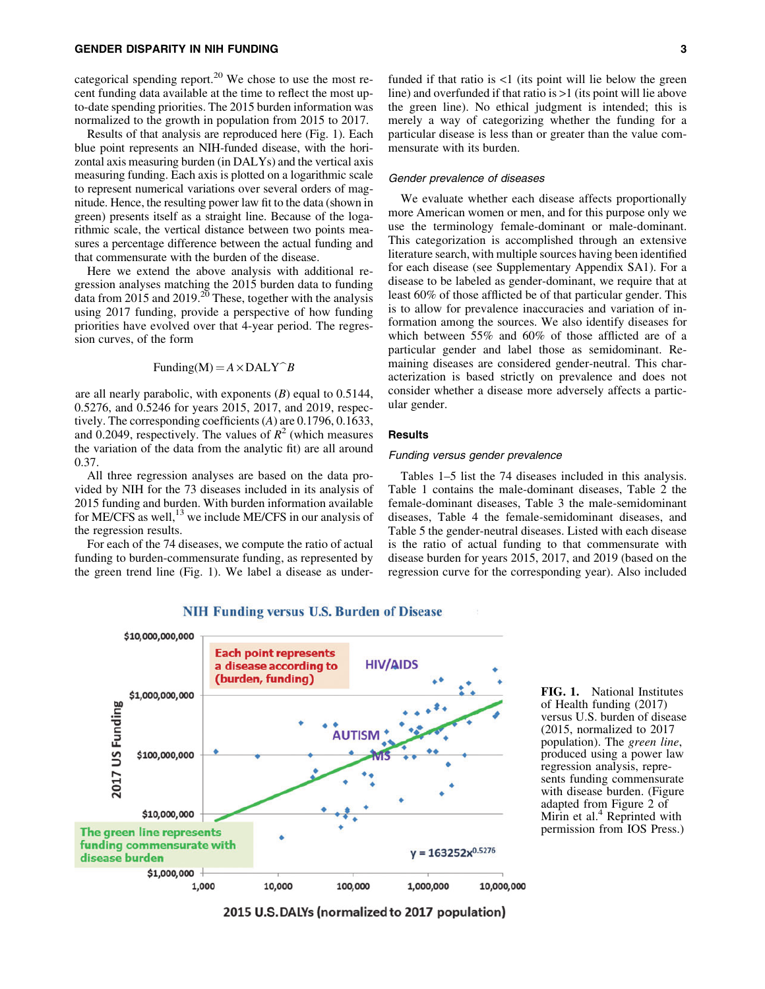categorical spending report. $20$  We chose to use the most recent funding data available at the time to reflect the most upto-date spending priorities. The 2015 burden information was normalized to the growth in population from 2015 to 2017.

Results of that analysis are reproduced here (Fig. 1). Each blue point represents an NIH-funded disease, with the horizontal axis measuring burden (in DALYs) and the vertical axis measuring funding. Each axis is plotted on a logarithmic scale to represent numerical variations over several orders of magnitude. Hence, the resulting power law fit to the data (shown in green) presents itself as a straight line. Because of the logarithmic scale, the vertical distance between two points measures a percentage difference between the actual funding and that commensurate with the burden of the disease.

Here we extend the above analysis with additional regression analyses matching the 2015 burden data to funding data from 2015 and 2019.<sup>20</sup> These, together with the analysis using 2017 funding, provide a perspective of how funding priorities have evolved over that 4-year period. The regression curves, of the form

$$
Funding(M) = A \times DALY^B
$$

are all nearly parabolic, with exponents (*B*) equal to 0.5144, 0.5276, and 0.5246 for years 2015, 2017, and 2019, respectively. The corresponding coefficients (*A*) are 0.1796, 0.1633, and 0.2049, respectively. The values of  $R^2$  (which measures the variation of the data from the analytic fit) are all around 0.37.

All three regression analyses are based on the data provided by NIH for the 73 diseases included in its analysis of 2015 funding and burden. With burden information available for ME/CFS as well,  $^{13}$  we include ME/CFS in our analysis of the regression results.

For each of the 74 diseases, we compute the ratio of actual funding to burden-commensurate funding, as represented by the green trend line (Fig. 1). We label a disease as underfunded if that ratio is <1 (its point will lie below the green line) and overfunded if that ratio is >1 (its point will lie above the green line). No ethical judgment is intended; this is merely a way of categorizing whether the funding for a particular disease is less than or greater than the value commensurate with its burden.

## Gender prevalence of diseases

We evaluate whether each disease affects proportionally more American women or men, and for this purpose only we use the terminology female-dominant or male-dominant. This categorization is accomplished through an extensive literature search, with multiple sources having been identified for each disease (see Supplementary Appendix SA1). For a disease to be labeled as gender-dominant, we require that at least 60% of those afflicted be of that particular gender. This is to allow for prevalence inaccuracies and variation of information among the sources. We also identify diseases for which between 55% and 60% of those afflicted are of a particular gender and label those as semidominant. Remaining diseases are considered gender-neutral. This characterization is based strictly on prevalence and does not consider whether a disease more adversely affects a particular gender.

## Results

# Funding versus gender prevalence

Tables 1–5 list the 74 diseases included in this analysis. Table 1 contains the male-dominant diseases, Table 2 the female-dominant diseases, Table 3 the male-semidominant diseases, Table 4 the female-semidominant diseases, and Table 5 the gender-neutral diseases. Listed with each disease is the ratio of actual funding to that commensurate with disease burden for years 2015, 2017, and 2019 (based on the regression curve for the corresponding year). Also included



**NIH Funding versus U.S. Burden of Disease** 

FIG. 1. National Institutes of Health funding (2017) versus U.S. burden of disease (2015, normalized to 2017 population). The *green line*, produced using a power law regression analysis, represents funding commensurate with disease burden. (Figure adapted from Figure 2 of Mirin et al. $4$  Reprinted with permission from IOS Press.)

2015 U.S. DALYs (normalized to 2017 population)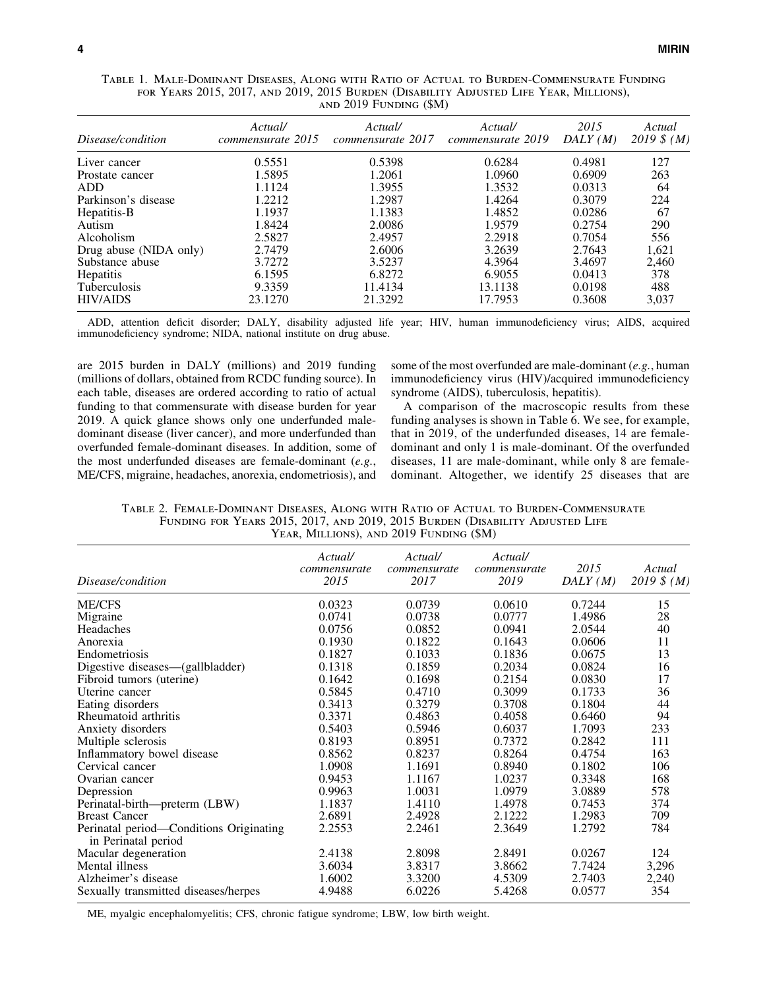| Disease/condition      | Actual/<br>commensurate 2015 | Actual/<br>commensurate 2017 | Actual/<br>commensurate 2019 | 2015<br>DALY(M) | Actual<br>$2019 \; \text{N} \; (M)$ |  |  |
|------------------------|------------------------------|------------------------------|------------------------------|-----------------|-------------------------------------|--|--|
| Liver cancer           | 0.5551                       | 0.5398                       | 0.6284                       | 0.4981          | 127                                 |  |  |
| Prostate cancer        | 1.5895                       | 1.2061                       | 1.0960                       | 0.6909          | 263                                 |  |  |
| ADD                    | 1.1124                       | 1.3955                       | 1.3532                       | 0.0313          | 64                                  |  |  |
| Parkinson's disease    | 1.2212                       | 1.2987                       | 1.4264                       | 0.3079          | 224                                 |  |  |
| Hepatitis-B            | 1.1937                       | 1.1383                       | 1.4852                       | 0.0286          | 67                                  |  |  |
| Autism                 | 1.8424                       | 2.0086                       | 1.9579                       | 0.2754          | 290                                 |  |  |
| Alcoholism             | 2.5827                       | 2.4957                       | 2.2918                       | 0.7054          | 556                                 |  |  |
| Drug abuse (NIDA only) | 2.7479                       | 2.6006                       | 3.2639                       | 2.7643          | 1,621                               |  |  |
| Substance abuse        | 3.7272                       | 3.5237                       | 4.3964                       | 3.4697          | 2,460                               |  |  |
| Hepatitis              | 6.1595                       | 6.8272                       | 6.9055                       | 0.0413          | 378                                 |  |  |
| Tuberculosis           | 9.3359                       | 11.4134                      | 13.1138                      | 0.0198          | 488                                 |  |  |
| <b>HIV/AIDS</b>        | 23.1270                      | 21.3292                      | 17.7953                      | 0.3608          | 3,037                               |  |  |

Table 1. Male-Dominant Diseases, Along with Ratio of Actual to Burden-Commensurate Funding for Years 2015, 2017, and 2019, 2015 Burden (Disability Adjusted Life Year, Millions), and 2019 Funding (\$M)

ADD, attention deficit disorder; DALY, disability adjusted life year; HIV, human immunodeficiency virus; AIDS, acquired immunodeficiency syndrome; NIDA, national institute on drug abuse.

are 2015 burden in DALY (millions) and 2019 funding (millions of dollars, obtained from RCDC funding source). In each table, diseases are ordered according to ratio of actual funding to that commensurate with disease burden for year 2019. A quick glance shows only one underfunded maledominant disease (liver cancer), and more underfunded than overfunded female-dominant diseases. In addition, some of the most underfunded diseases are female-dominant (*e.g.*, ME/CFS, migraine, headaches, anorexia, endometriosis), and some of the most overfunded are male-dominant (*e.g.*, human immunodeficiency virus (HIV)/acquired immunodeficiency syndrome (AIDS), tuberculosis, hepatitis).

A comparison of the macroscopic results from these funding analyses is shown in Table 6. We see, for example, that in 2019, of the underfunded diseases, 14 are femaledominant and only 1 is male-dominant. Of the overfunded diseases, 11 are male-dominant, while only 8 are femaledominant. Altogether, we identify 25 diseases that are

| Table 2. Female-Dominant Diseases. Along with Ratio of Actual to Burden-Commensurate |
|--------------------------------------------------------------------------------------|
| FUNDING FOR YEARS 2015, 2017, AND 2019, 2015 BURDEN (DISABILITY ADJUSTED LIFE        |
| YEAR, MILLIONS), AND 2019 FUNDING (\$M)                                              |

| Disease/condition                                              | Actual/<br>commensurate<br>2015 | Actual/<br>commensurate<br>2017 | Actual/<br>commensurate<br>2019 | 2015<br>DALY(M) | Actual<br>2019 $$ (M)$ |
|----------------------------------------------------------------|---------------------------------|---------------------------------|---------------------------------|-----------------|------------------------|
| <b>ME/CFS</b>                                                  | 0.0323                          | 0.0739                          | 0.0610                          | 0.7244          | 15                     |
| Migraine                                                       | 0.0741                          | 0.0738                          | 0.0777                          | 1.4986          | 28                     |
| Headaches                                                      | 0.0756                          | 0.0852                          | 0.0941                          | 2.0544          | 40                     |
| Anorexia                                                       | 0.1930                          | 0.1822                          | 0.1643                          | 0.0606          | 11                     |
| Endometriosis                                                  | 0.1827                          | 0.1033                          | 0.1836                          | 0.0675          | 13                     |
| Digestive diseases—(gallbladder)                               | 0.1318                          | 0.1859                          | 0.2034                          | 0.0824          | 16                     |
| Fibroid tumors (uterine)                                       | 0.1642                          | 0.1698                          | 0.2154                          | 0.0830          | 17                     |
| Uterine cancer                                                 | 0.5845                          | 0.4710                          | 0.3099                          | 0.1733          | 36                     |
| Eating disorders                                               | 0.3413                          | 0.3279                          | 0.3708                          | 0.1804          | 44                     |
| Rheumatoid arthritis                                           | 0.3371                          | 0.4863                          | 0.4058                          | 0.6460          | 94                     |
| Anxiety disorders                                              | 0.5403                          | 0.5946                          | 0.6037                          | 1.7093          | 233                    |
| Multiple sclerosis                                             | 0.8193                          | 0.8951                          | 0.7372                          | 0.2842          | 111                    |
| Inflammatory bowel disease                                     | 0.8562                          | 0.8237                          | 0.8264                          | 0.4754          | 163                    |
| Cervical cancer                                                | 1.0908                          | 1.1691                          | 0.8940                          | 0.1802          | 106                    |
| Ovarian cancer                                                 | 0.9453                          | 1.1167                          | 1.0237                          | 0.3348          | 168                    |
| Depression                                                     | 0.9963                          | 1.0031                          | 1.0979                          | 3.0889          | 578                    |
| Perinatal-birth—preterm (LBW)                                  | 1.1837                          | 1.4110                          | 1.4978                          | 0.7453          | 374                    |
| <b>Breast Cancer</b>                                           | 2.6891                          | 2.4928                          | 2.1222                          | 1.2983          | 709                    |
| Perinatal period-Conditions Originating<br>in Perinatal period | 2.2553                          | 2.2461                          | 2.3649                          | 1.2792          | 784                    |
| Macular degeneration                                           | 2.4138                          | 2.8098                          | 2.8491                          | 0.0267          | 124                    |
| Mental illness                                                 | 3.6034                          | 3.8317                          | 3.8662                          | 7.7424          | 3,296                  |
| Alzheimer's disease                                            | 1.6002                          | 3.3200                          | 4.5309                          | 2.7403          | 2,240                  |
| Sexually transmitted diseases/herpes                           | 4.9488                          | 6.0226                          | 5.4268                          | 0.0577          | 354                    |

ME, myalgic encephalomyelitis; CFS, chronic fatigue syndrome; LBW, low birth weight.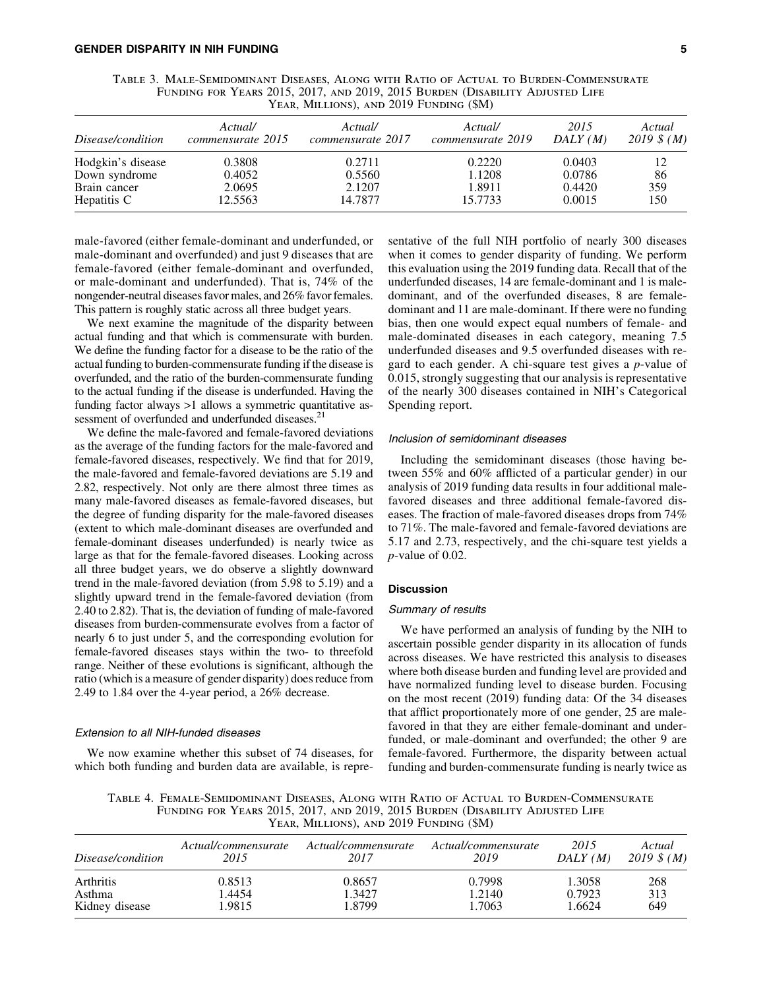| TABLE 3. MALE-SEMIDOMINANT DISEASES, ALONG WITH RATIO OF ACTUAL TO BURDEN-COMMENSURATE |
|----------------------------------------------------------------------------------------|
| FUNDING FOR YEARS 2015, 2017, AND 2019, 2015 BURDEN (DISABILITY ADJUSTED LIFE          |
| YEAR, MILLIONS), AND 2019 FUNDING (\$M)                                                |

| Disease/condition | Actual/<br>commensurate 2015 | Actual/<br>commensurate 2017 | Actual/<br>commensurate 2019 | 2015<br>DALY(M) | Actual<br>2019 $$ (M)$ |
|-------------------|------------------------------|------------------------------|------------------------------|-----------------|------------------------|
| Hodgkin's disease | 0.3808                       | 0.2711                       | 0.2220                       | 0.0403          | 12                     |
| Down syndrome     | 0.4052                       | 0.5560                       | 1.1208                       | 0.0786          | 86                     |
| Brain cancer      | 2.0695                       | 2.1207                       | 1.8911                       | 0.4420          | 359                    |
| Hepatitis C       | 12.5563                      | 14.7877                      | 15.7733                      | 0.0015          | 150                    |

male-favored (either female-dominant and underfunded, or male-dominant and overfunded) and just 9 diseases that are female-favored (either female-dominant and overfunded, or male-dominant and underfunded). That is, 74% of the nongender-neutral diseases favor males, and 26% favor females. This pattern is roughly static across all three budget years.

We next examine the magnitude of the disparity between actual funding and that which is commensurate with burden. We define the funding factor for a disease to be the ratio of the actual funding to burden-commensurate funding if the disease is overfunded, and the ratio of the burden-commensurate funding to the actual funding if the disease is underfunded. Having the funding factor always  $>1$  allows a symmetric quantitative assessment of overfunded and underfunded diseases.<sup>21</sup>

We define the male-favored and female-favored deviations as the average of the funding factors for the male-favored and female-favored diseases, respectively. We find that for 2019, the male-favored and female-favored deviations are 5.19 and 2.82, respectively. Not only are there almost three times as many male-favored diseases as female-favored diseases, but the degree of funding disparity for the male-favored diseases (extent to which male-dominant diseases are overfunded and female-dominant diseases underfunded) is nearly twice as large as that for the female-favored diseases. Looking across all three budget years, we do observe a slightly downward trend in the male-favored deviation (from 5.98 to 5.19) and a slightly upward trend in the female-favored deviation (from 2.40 to 2.82). That is, the deviation of funding of male-favored diseases from burden-commensurate evolves from a factor of nearly 6 to just under 5, and the corresponding evolution for female-favored diseases stays within the two- to threefold range. Neither of these evolutions is significant, although the ratio (which is a measure of gender disparity) does reduce from 2.49 to 1.84 over the 4-year period, a 26% decrease.

#### Extension to all NIH-funded diseases

We now examine whether this subset of 74 diseases, for which both funding and burden data are available, is representative of the full NIH portfolio of nearly 300 diseases when it comes to gender disparity of funding. We perform this evaluation using the 2019 funding data. Recall that of the underfunded diseases, 14 are female-dominant and 1 is maledominant, and of the overfunded diseases, 8 are femaledominant and 11 are male-dominant. If there were no funding bias, then one would expect equal numbers of female- and male-dominated diseases in each category, meaning 7.5 underfunded diseases and 9.5 overfunded diseases with regard to each gender. A chi-square test gives a *p*-value of 0.015, strongly suggesting that our analysis is representative of the nearly 300 diseases contained in NIH's Categorical Spending report.

# Inclusion of semidominant diseases

Including the semidominant diseases (those having between 55% and 60% afflicted of a particular gender) in our analysis of 2019 funding data results in four additional malefavored diseases and three additional female-favored diseases. The fraction of male-favored diseases drops from 74% to 71%. The male-favored and female-favored deviations are 5.17 and 2.73, respectively, and the chi-square test yields a *p*-value of 0.02.

# Discussion

# Summary of results

We have performed an analysis of funding by the NIH to ascertain possible gender disparity in its allocation of funds across diseases. We have restricted this analysis to diseases where both disease burden and funding level are provided and have normalized funding level to disease burden. Focusing on the most recent (2019) funding data: Of the 34 diseases that afflict proportionately more of one gender, 25 are malefavored in that they are either female-dominant and underfunded, or male-dominant and overfunded; the other 9 are female-favored. Furthermore, the disparity between actual funding and burden-commensurate funding is nearly twice as

Table 4. Female-Semidominant Diseases, Along with Ratio of Actual to Burden-Commensurate Funding for Years 2015, 2017, and 2019, 2015 Burden (Disability Adjusted Life Year, Millions), and 2019 Funding (\$M)

| Disease/condition | Actual/commensurate | Actual/commensurate | Actual/commensurate | 2015    | Actual       |
|-------------------|---------------------|---------------------|---------------------|---------|--------------|
|                   | 2015                | 2017                | 2019                | DALY(M) | 2019 $$ (M)$ |
| Arthritis         | 0.8513              | 0.8657              | 0.7998              | 1.3058  | 268          |
| Asthma            | 1.4454              | 1.3427              | 1.2140              | 0.7923  | 313          |
| Kidney disease    | 1.9815              | 1.8799              | 1.7063              | 1.6624  | 649          |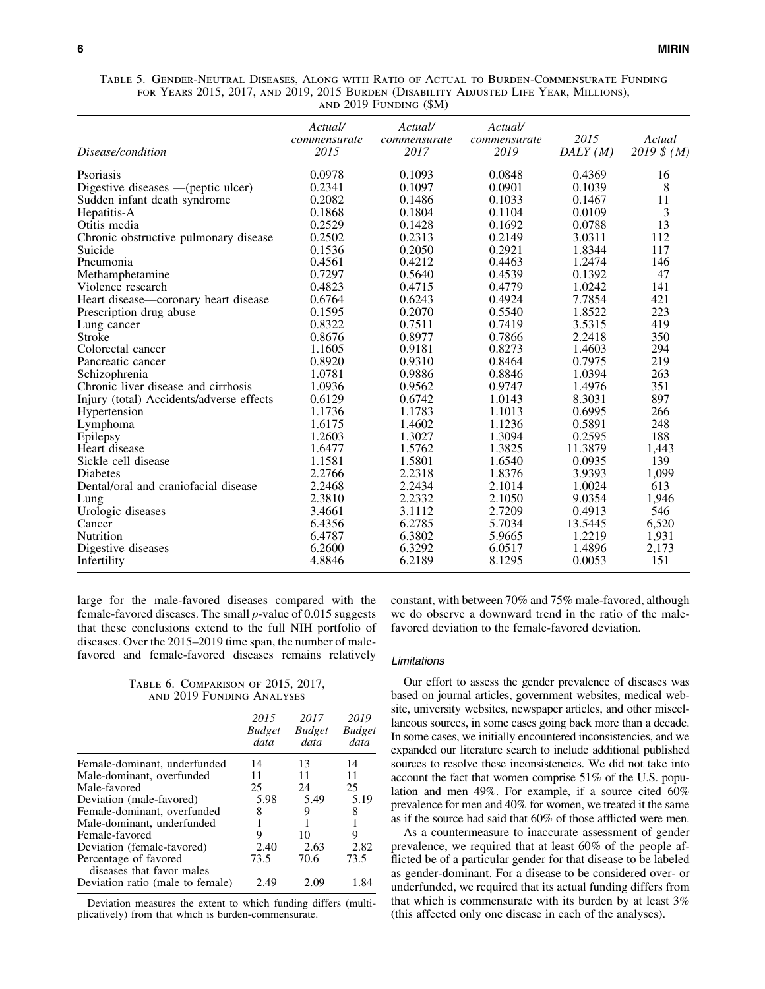Table 5. Gender-Neutral Diseases, Along with Ratio of Actual to Burden-Commensurate Funding for Years 2015, 2017, and 2019, 2015 Burden (Disability Adjusted Life Year, Millions), and 2019 Funding (\$M)

| Disease/condition                        | Actual/<br>commensurate<br>2015 | Actual/<br>commensurate<br>2017 | Actual/<br>commensurate<br>2019 | 2015<br>DALY(M) | Actual<br>2019 $$ (M)$ |
|------------------------------------------|---------------------------------|---------------------------------|---------------------------------|-----------------|------------------------|
| Psoriasis                                | 0.0978                          | 0.1093                          | 0.0848                          | 0.4369          | 16                     |
| Digestive diseases —(peptic ulcer)       | 0.2341                          | 0.1097                          | 0.0901                          | 0.1039          | 8                      |
| Sudden infant death syndrome             | 0.2082                          | 0.1486                          | 0.1033                          | 0.1467          | 11                     |
| Hepatitis-A                              | 0.1868                          | 0.1804                          | 0.1104                          | 0.0109          | 3                      |
| Otitis media                             | 0.2529                          | 0.1428                          | 0.1692                          | 0.0788          | 13                     |
| Chronic obstructive pulmonary disease    | 0.2502                          | 0.2313                          | 0.2149                          | 3.0311          | 112                    |
| Suicide                                  | 0.1536                          | 0.2050                          | 0.2921                          | 1.8344          | 117                    |
| Pneumonia                                | 0.4561                          | 0.4212                          | 0.4463                          | 1.2474          | 146                    |
| Methamphetamine                          | 0.7297                          | 0.5640                          | 0.4539                          | 0.1392          | 47                     |
| Violence research                        | 0.4823                          | 0.4715                          | 0.4779                          | 1.0242          | 141                    |
| Heart disease—coronary heart disease     | 0.6764                          | 0.6243                          | 0.4924                          | 7.7854          | 421                    |
| Prescription drug abuse                  | 0.1595                          | 0.2070                          | 0.5540                          | 1.8522          | 223                    |
| Lung cancer                              | 0.8322                          | 0.7511                          | 0.7419                          | 3.5315          | 419                    |
| <b>Stroke</b>                            | 0.8676                          | 0.8977                          | 0.7866                          | 2.2418          | 350                    |
| Colorectal cancer                        | 1.1605                          | 0.9181                          | 0.8273                          | 1.4603          | 294                    |
| Pancreatic cancer                        | 0.8920                          | 0.9310                          | 0.8464                          | 0.7975          | 219                    |
| Schizophrenia                            | 1.0781                          | 0.9886                          | 0.8846                          | 1.0394          | 263                    |
| Chronic liver disease and cirrhosis      | 1.0936                          | 0.9562                          | 0.9747                          | 1.4976          | 351                    |
| Injury (total) Accidents/adverse effects | 0.6129                          | 0.6742                          | 1.0143                          | 8.3031          | 897                    |
| Hypertension                             | 1.1736                          | 1.1783                          | 1.1013                          | 0.6995          | 266                    |
| Lymphoma                                 | 1.6175                          | 1.4602                          | 1.1236                          | 0.5891          | 248                    |
| Epilepsy                                 | 1.2603                          | 1.3027                          | 1.3094                          | 0.2595          | 188                    |
| Heart disease                            | 1.6477                          | 1.5762                          | 1.3825                          | 11.3879         | 1,443                  |
| Sickle cell disease                      | 1.1581                          | 1.5801                          | 1.6540                          | 0.0935          | 139                    |
| <b>Diabetes</b>                          | 2.2766                          | 2.2318                          | 1.8376                          | 3.9393          | 1,099                  |
| Dental/oral and craniofacial disease     | 2.2468                          | 2.2434                          | 2.1014                          | 1.0024          | 613                    |
| Lung                                     | 2.3810                          | 2.2332                          | 2.1050                          | 9.0354          | 1,946                  |
| Urologic diseases                        | 3.4661                          | 3.1112                          | 2.7209                          | 0.4913          | 546                    |
| Cancer                                   | 6.4356                          | 6.2785                          | 5.7034                          | 13.5445         | 6,520                  |
| Nutrition                                | 6.4787                          | 6.3802                          | 5.9665                          | 1.2219          | 1,931                  |
| Digestive diseases                       | 6.2600                          | 6.3292                          | 6.0517                          | 1.4896          | 2,173                  |
| Infertility                              | 4.8846                          | 6.2189                          | 8.1295                          | 0.0053          | 151                    |

large for the male-favored diseases compared with the female-favored diseases. The small *p*-value of 0.015 suggests that these conclusions extend to the full NIH portfolio of diseases. Over the 2015–2019 time span, the number of malefavored and female-favored diseases remains relatively

Table 6. Comparison of 2015, 2017, and 2019 Funding Analyses

|                                                    | 2015<br><b>Budget</b><br>data | 2017<br><b>Budget</b><br>data | 2019<br><b>Budget</b><br>data |
|----------------------------------------------------|-------------------------------|-------------------------------|-------------------------------|
| Female-dominant, underfunded                       | 14                            | 13                            | 14                            |
| Male-dominant, overfunded                          | 11                            | 11                            | 11                            |
| Male-favored                                       | 25                            | 24                            | 25                            |
| Deviation (male-favored)                           | 5.98                          | 5.49                          | 5.19                          |
| Female-dominant, overfunded                        | 8                             | 9                             | 8                             |
| Male-dominant, underfunded                         |                               |                               | 1                             |
| Female-favored                                     | 9                             | 10                            | 9                             |
| Deviation (female-favored)                         | 2.40                          | 2.63                          | 2.82                          |
| Percentage of favored<br>diseases that favor males | 73.5                          | 70.6                          | 73.5                          |
| Deviation ratio (male to female)                   | 2.49                          |                               | 1.84                          |

Deviation measures the extent to which funding differs (multiplicatively) from that which is burden-commensurate.

constant, with between 70% and 75% male-favored, although we do observe a downward trend in the ratio of the malefavored deviation to the female-favored deviation.

## Limitations

Our effort to assess the gender prevalence of diseases was based on journal articles, government websites, medical website, university websites, newspaper articles, and other miscellaneous sources, in some cases going back more than a decade. In some cases, we initially encountered inconsistencies, and we expanded our literature search to include additional published sources to resolve these inconsistencies. We did not take into account the fact that women comprise 51% of the U.S. population and men 49%. For example, if a source cited 60% prevalence for men and 40% for women, we treated it the same as if the source had said that 60% of those afflicted were men.

As a countermeasure to inaccurate assessment of gender prevalence, we required that at least 60% of the people afflicted be of a particular gender for that disease to be labeled as gender-dominant. For a disease to be considered over- or underfunded, we required that its actual funding differs from that which is commensurate with its burden by at least 3% (this affected only one disease in each of the analyses).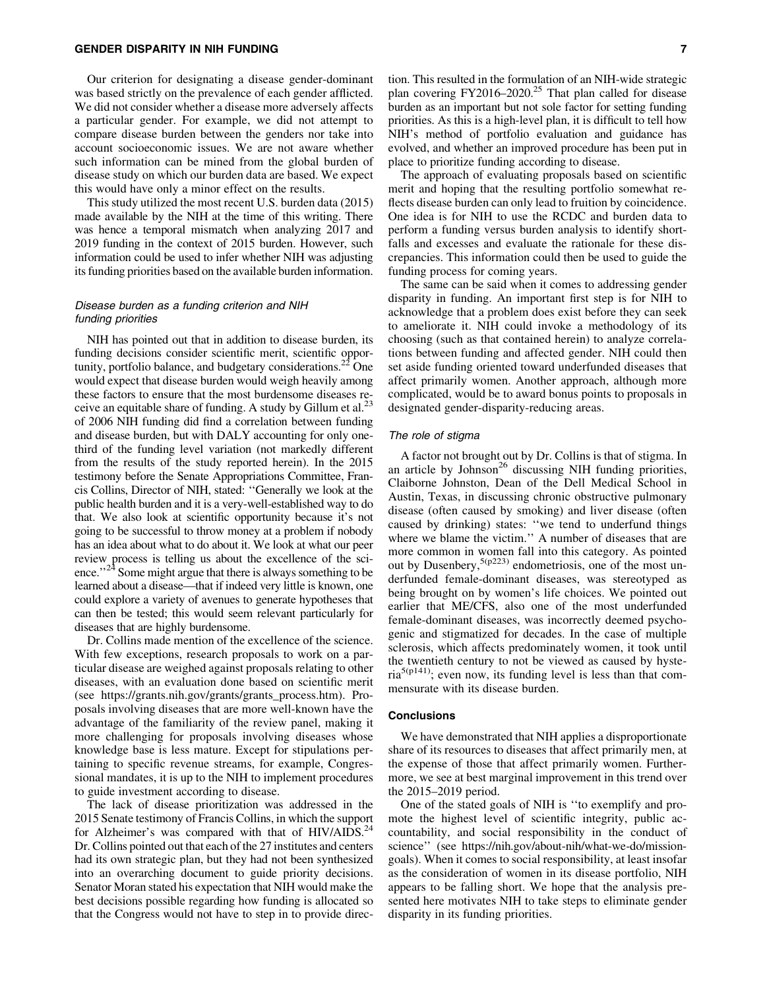Our criterion for designating a disease gender-dominant was based strictly on the prevalence of each gender afflicted. We did not consider whether a disease more adversely affects a particular gender. For example, we did not attempt to compare disease burden between the genders nor take into account socioeconomic issues. We are not aware whether such information can be mined from the global burden of disease study on which our burden data are based. We expect this would have only a minor effect on the results.

This study utilized the most recent U.S. burden data (2015) made available by the NIH at the time of this writing. There was hence a temporal mismatch when analyzing 2017 and 2019 funding in the context of 2015 burden. However, such information could be used to infer whether NIH was adjusting its funding priorities based on the available burden information.

# Disease burden as a funding criterion and NIH funding priorities

NIH has pointed out that in addition to disease burden, its funding decisions consider scientific merit, scientific opportunity, portfolio balance, and budgetary considerations.<sup>22</sup> One would expect that disease burden would weigh heavily among these factors to ensure that the most burdensome diseases receive an equitable share of funding. A study by Gillum et al.<sup>23</sup> of 2006 NIH funding did find a correlation between funding and disease burden, but with DALY accounting for only onethird of the funding level variation (not markedly different from the results of the study reported herein). In the 2015 testimony before the Senate Appropriations Committee, Francis Collins, Director of NIH, stated: ''Generally we look at the public health burden and it is a very-well-established way to do that. We also look at scientific opportunity because it's not going to be successful to throw money at a problem if nobody has an idea about what to do about it. We look at what our peer review process is telling us about the excellence of the science."<sup>24</sup> Some might argue that there is always something to be learned about a disease—that if indeed very little is known, one could explore a variety of avenues to generate hypotheses that can then be tested; this would seem relevant particularly for diseases that are highly burdensome.

Dr. Collins made mention of the excellence of the science. With few exceptions, research proposals to work on a particular disease are weighed against proposals relating to other diseases, with an evaluation done based on scientific merit (see [https://grants.nih.gov/grants/grants\\_process.htm\)](https://grants.nih.gov/grants/grants_process.htm). Proposals involving diseases that are more well-known have the advantage of the familiarity of the review panel, making it more challenging for proposals involving diseases whose knowledge base is less mature. Except for stipulations pertaining to specific revenue streams, for example, Congressional mandates, it is up to the NIH to implement procedures to guide investment according to disease.

The lack of disease prioritization was addressed in the 2015 Senate testimony of Francis Collins, in which the support for Alzheimer's was compared with that of HIV/AIDS.<sup>24</sup> Dr. Collins pointed out that each of the 27 institutes and centers had its own strategic plan, but they had not been synthesized into an overarching document to guide priority decisions. Senator Moran stated his expectation that NIH would make the best decisions possible regarding how funding is allocated so that the Congress would not have to step in to provide direction. This resulted in the formulation of an NIH-wide strategic plan covering FY2016–2020.<sup>25</sup> That plan called for disease burden as an important but not sole factor for setting funding priorities. As this is a high-level plan, it is difficult to tell how NIH's method of portfolio evaluation and guidance has evolved, and whether an improved procedure has been put in place to prioritize funding according to disease.

The approach of evaluating proposals based on scientific merit and hoping that the resulting portfolio somewhat reflects disease burden can only lead to fruition by coincidence. One idea is for NIH to use the RCDC and burden data to perform a funding versus burden analysis to identify shortfalls and excesses and evaluate the rationale for these discrepancies. This information could then be used to guide the funding process for coming years.

The same can be said when it comes to addressing gender disparity in funding. An important first step is for NIH to acknowledge that a problem does exist before they can seek to ameliorate it. NIH could invoke a methodology of its choosing (such as that contained herein) to analyze correlations between funding and affected gender. NIH could then set aside funding oriented toward underfunded diseases that affect primarily women. Another approach, although more complicated, would be to award bonus points to proposals in designated gender-disparity-reducing areas.

## The role of stigma

A factor not brought out by Dr. Collins is that of stigma. In an article by Johnson<sup>26</sup> discussing NIH funding priorities, Claiborne Johnston, Dean of the Dell Medical School in Austin, Texas, in discussing chronic obstructive pulmonary disease (often caused by smoking) and liver disease (often caused by drinking) states: ''we tend to underfund things where we blame the victim." A number of diseases that are more common in women fall into this category. As pointed out by Dusenbery,  $5(p223)$  endometriosis, one of the most underfunded female-dominant diseases, was stereotyped as being brought on by women's life choices. We pointed out earlier that ME/CFS, also one of the most underfunded female-dominant diseases, was incorrectly deemed psychogenic and stigmatized for decades. In the case of multiple sclerosis, which affects predominately women, it took until the twentieth century to not be viewed as caused by hysteria<sup>5(p141)</sup>; even now, its funding level is less than that commensurate with its disease burden.

#### **Conclusions**

We have demonstrated that NIH applies a disproportionate share of its resources to diseases that affect primarily men, at the expense of those that affect primarily women. Furthermore, we see at best marginal improvement in this trend over the 2015–2019 period.

One of the stated goals of NIH is ''to exemplify and promote the highest level of scientific integrity, public accountability, and social responsibility in the conduct of science'' (see [https://nih.gov/about-nih/what-we-do/mission](https://nih.gov/about-nih/what-we-do/mission-goals)[goals\)](https://nih.gov/about-nih/what-we-do/mission-goals). When it comes to social responsibility, at least insofar as the consideration of women in its disease portfolio, NIH appears to be falling short. We hope that the analysis presented here motivates NIH to take steps to eliminate gender disparity in its funding priorities.